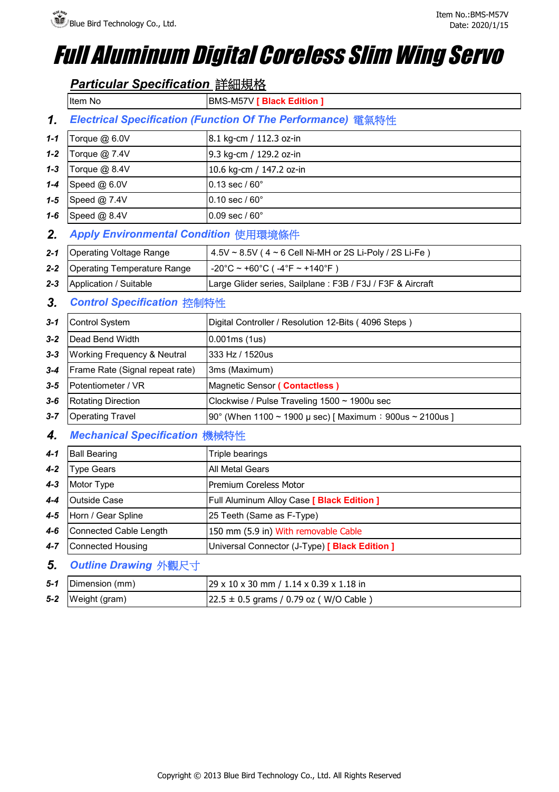## *Full Aluminum Digital Coreless Slim Wing Servo*

| Item No                                | BMS-M57V [ Black Edition ]                                               |
|----------------------------------------|--------------------------------------------------------------------------|
|                                        | Electrical Specification (Function Of The Performance) 電氣特性              |
| Torque @ 6.0V                          | 8.1 kg-cm / 112.3 oz-in                                                  |
| Torque @ 7.4V                          | 9.3 kg-cm / 129.2 oz-in                                                  |
| Torque @ 8.4V                          | 10.6 kg-cm / 147.2 oz-in                                                 |
| Speed @ 6.0V                           | $0.13 \text{ sec} / 60^{\circ}$                                          |
| Speed @ 7.4V                           | $0.10$ sec / $60^{\circ}$                                                |
| Speed @ 8.4V                           | $0.09$ sec / $60^{\circ}$                                                |
| Apply Environmental Condition 使用環境條件   |                                                                          |
| <b>Operating Voltage Range</b>         | 4.5V ~ 8.5V (4 ~ 6 Cell Ni-MH or 2S Li-Poly / 2S Li-Fe)                  |
| <b>Operating Temperature Range</b>     | $-20^{\circ}$ C ~ +60 $^{\circ}$ C ( $-4^{\circ}$ F ~ +140 $^{\circ}$ F) |
| Application / Suitable                 | Large Glider series, Sailplane: F3B / F3J / F3F & Aircraft               |
| <b>Control Specification 控制特性</b>      |                                                                          |
| Control System                         | Digital Controller / Resolution 12-Bits (4096 Steps)                     |
| Dead Bend Width                        | 0.001ms(1us)                                                             |
| <b>Working Frequency &amp; Neutral</b> | 333 Hz / 1520us                                                          |
| Frame Rate (Signal repeat rate)        | 3ms (Maximum)                                                            |
| Potentiometer / VR                     | Magnetic Sensor ( Contactless )                                          |
| <b>Rotating Direction</b>              | Clockwise / Pulse Traveling 1500 ~ 1900u sec                             |
| <b>Operating Travel</b>                | 90° (When 1100 ~ 1900 µ sec) [Maximum : 900us ~ 2100us ]                 |
| <b>Mechanical Specification 機械特性</b>   |                                                                          |
| <b>Ball Bearing</b>                    | Triple bearings                                                          |
| <b>Type Gears</b>                      | All Metal Gears                                                          |
| Motor Type                             | Premium Coreless Motor                                                   |
| Outside Case                           | Full Aluminum Alloy Case [ Black Edition ]                               |
| Horn / Gear Spline                     | 25 Teeth (Same as F-Type)                                                |
| <b>Connected Cable Length</b>          | 150 mm (5.9 in) With removable Cable                                     |
| <b>Connected Housing</b>               | Universal Connector (J-Type) [ Black Edition ]                           |
| Outline Drawing 外觀尺寸                   |                                                                          |
| Dimension (mm)                         | 29 x 10 x 30 mm / 1.14 x 0.39 x 1.18 in                                  |

|       | $5-2$ Weight (gram) | $22.5 \pm 0.5$ grams / 0.79 oz (W/O Cable)                                           |
|-------|---------------------|--------------------------------------------------------------------------------------|
| - 5-1 | Dimension (mm)      | $\frac{129 \times 10 \times 30 \text{ mm}}{1.14 \times 0.39 \times 1.18 \text{ in}}$ |